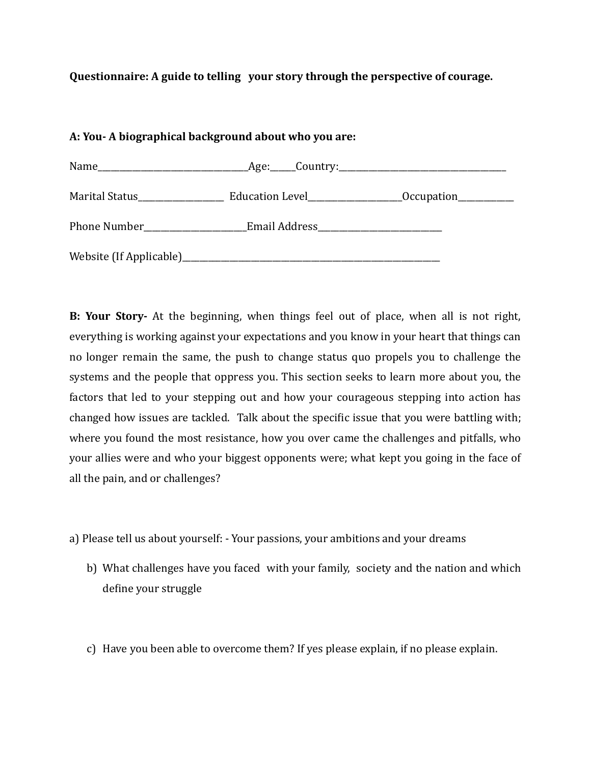## **Questionnaire:** A guide to telling your story through the perspective of courage.

**A: You- A biographical background about who you are:**

| Marital Status |  |
|----------------|--|
|                |  |
|                |  |

**B:** Your Story- At the beginning, when things feel out of place, when all is not right, everything is working against your expectations and you know in your heart that things can no longer remain the same, the push to change status quo propels you to challenge the systems and the people that oppress you. This section seeks to learn more about you, the factors that led to your stepping out and how your courageous stepping into action has changed how issues are tackled. Talk about the specific issue that you were battling with; where you found the most resistance, how you over came the challenges and pitfalls, who your allies were and who your biggest opponents were; what kept you going in the face of all the pain, and or challenges?

- a) Please tell us about yourself: Your passions, your ambitions and your dreams
	- b) What challenges have you faced with your family, society and the nation and which define your struggle
	- c) Have you been able to overcome them? If yes please explain, if no please explain.